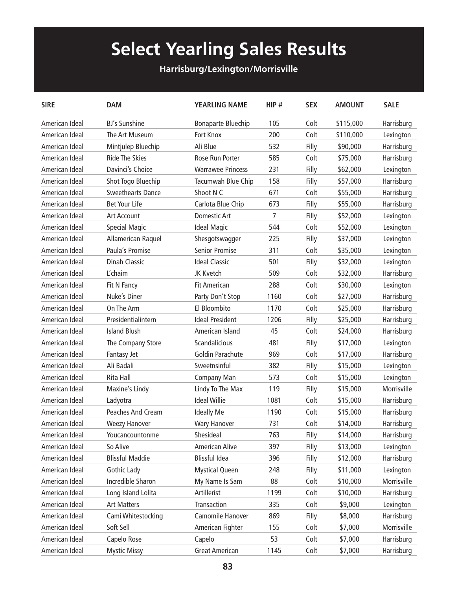## **Select Yearling Sales Results**

## **Harrisburg/Lexington/Morrisville**

| <b>SIRE</b>    | <b>DAM</b>               | <b>YEARLING NAME</b>      | HIP# | <b>SEX</b> | <b>AMOUNT</b> | <b>SALE</b> |
|----------------|--------------------------|---------------------------|------|------------|---------------|-------------|
| American Ideal | <b>BJ's Sunshine</b>     | <b>Bonaparte Bluechip</b> | 105  | Colt       | \$115,000     | Harrisburg  |
| American Ideal | The Art Museum           | Fort Knox                 | 200  | Colt       | \$110,000     | Lexington   |
| American Ideal | Mintjulep Bluechip       | Ali Blue                  | 532  | Filly      | \$90,000      | Harrisburg  |
| American Ideal | <b>Ride The Skies</b>    | Rose Run Porter           | 585  | Colt       | \$75,000      | Harrisburg  |
| American Ideal | Davinci's Choice         | <b>Warrawee Princess</b>  | 231  | Filly      | \$62,000      | Lexington   |
| American Ideal | Shot Togo Bluechip       | Tacumwah Blue Chip        | 158  | Filly      | \$57,000      | Harrisburg  |
| American Ideal | <b>Sweethearts Dance</b> | Shoot N C                 | 671  | Colt       | \$55,000      | Harrisburg  |
| American Ideal | <b>Bet Your Life</b>     | Carlota Blue Chip         | 673  | Filly      | \$55,000      | Harrisburg  |
| American Ideal | <b>Art Account</b>       | <b>Domestic Art</b>       | 7    | Filly      | \$52,000      | Lexington   |
| American Ideal | <b>Special Magic</b>     | <b>Ideal Magic</b>        | 544  | Colt       | \$52,000      | Lexington   |
| American Ideal | Allamerican Raquel       | Shesgotswagger            | 225  | Filly      | \$37,000      | Lexington   |
| American Ideal | Paula's Promise          | <b>Senior Promise</b>     | 311  | Colt       | \$35,000      | Lexington   |
| American Ideal | <b>Dinah Classic</b>     | <b>Ideal Classic</b>      | 501  | Filly      | \$32,000      | Lexington   |
| American Ideal | L'chaim                  | JK Kvetch                 | 509  | Colt       | \$32,000      | Harrisburg  |
| American Ideal | Fit N Fancy              | <b>Fit American</b>       | 288  | Colt       | \$30,000      | Lexington   |
| American Ideal | Nuke's Diner             | Party Don't Stop          | 1160 | Colt       | \$27,000      | Harrisburg  |
| American Ideal | On The Arm               | El Bloombito              | 1170 | Colt       | \$25,000      | Harrisburg  |
| American Ideal | Presidentialintern       | <b>Ideal President</b>    | 1206 | Filly      | \$25,000      | Harrisburg  |
| American Ideal | <b>Island Blush</b>      | American Island           | 45   | Colt       | \$24,000      | Harrisburg  |
| American Ideal | The Company Store        | Scandalicious             | 481  | Filly      | \$17,000      | Lexington   |
| American Ideal | Fantasy Jet              | Goldin Parachute          | 969  | Colt       | \$17,000      | Harrisburg  |
| American Ideal | Ali Badali               | Sweetnsinful              | 382  | Filly      | \$15,000      | Lexington   |
| American Ideal | Rita Hall                | Company Man               | 573  | Colt       | \$15,000      | Lexington   |
| American Ideal | Maxine's Lindy           | Lindy To The Max          | 119  | Filly      | \$15,000      | Morrisville |
| American Ideal | Ladyotra                 | <b>Ideal Willie</b>       | 1081 | Colt       | \$15,000      | Harrisburg  |
| American Ideal | <b>Peaches And Cream</b> | <b>Ideally Me</b>         | 1190 | Colt       | \$15,000      | Harrisburg  |
| American Ideal | <b>Weezy Hanover</b>     | <b>Wary Hanover</b>       | 731  | Colt       | \$14,000      | Harrisburg  |
| American Ideal | Youcancountonme          | Shesideal                 | 763  | Filly      | \$14,000      | Harrisburg  |
| American Ideal | So Alive                 | <b>American Alive</b>     | 397  | Filly      | \$13,000      | Lexington   |
| American Ideal | <b>Blissful Maddie</b>   | <b>Blissful Idea</b>      | 396  | Filly      | \$12,000      | Harrisburg  |
| American Ideal | <b>Gothic Lady</b>       | <b>Mystical Queen</b>     | 248  | Filly      | \$11,000      | Lexington   |
| American Ideal | Incredible Sharon        | My Name Is Sam            | 88   | Colt       | \$10,000      | Morrisville |
| American Ideal | Long Island Lolita       | Artillerist               | 1199 | Colt       | \$10,000      | Harrisburg  |
| American Ideal | <b>Art Matters</b>       | Transaction               | 335  | Colt       | \$9,000       | Lexington   |
| American Ideal | Cami Whitestocking       | Camomile Hanover          | 869  | Filly      | \$8,000       | Harrisburg  |
| American Ideal | Soft Sell                | American Fighter          | 155  | Colt       | \$7,000       | Morrisville |
| American Ideal | Capelo Rose              | Capelo                    | 53   | Colt       | \$7,000       | Harrisburg  |
| American Ideal | <b>Mystic Missy</b>      | <b>Great American</b>     | 1145 | Colt       | \$7,000       | Harrisburg  |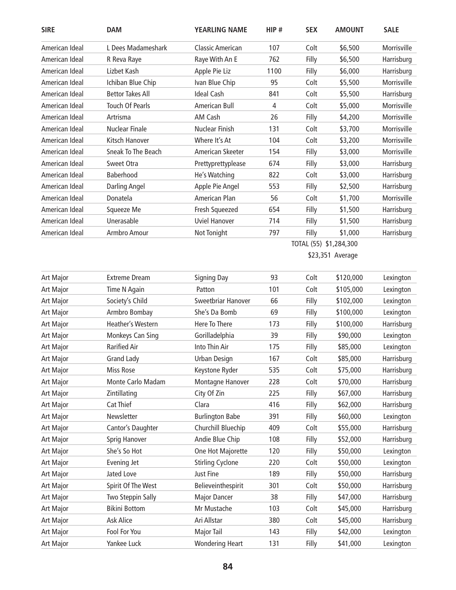| <b>SIRE</b>    | <b>DAM</b>               | <b>YEARLING NAME</b>    | HIP# | <b>SEX</b>             | <b>AMOUNT</b>    | <b>SALE</b> |
|----------------|--------------------------|-------------------------|------|------------------------|------------------|-------------|
| American Ideal | L Dees Madameshark       | <b>Classic American</b> | 107  | Colt                   | \$6,500          | Morrisville |
| American Ideal | R Reva Raye              | Raye With An E          | 762  | Filly                  | \$6,500          | Harrisburg  |
| American Ideal | Lizbet Kash              | Apple Pie Liz           | 1100 | Filly                  | \$6,000          | Harrisburg  |
| American Ideal | Ichiban Blue Chip        | Ivan Blue Chip          | 95   | Colt                   | \$5,500          | Morrisville |
| American Ideal | <b>Bettor Takes All</b>  | <b>Ideal Cash</b>       | 841  | Colt                   | \$5,500          | Harrisburg  |
| American Ideal | <b>Touch Of Pearls</b>   | American Bull           | 4    | Colt                   | \$5,000          | Morrisville |
| American Ideal | Artrisma                 | AM Cash                 | 26   | Filly                  | \$4,200          | Morrisville |
| American Ideal | <b>Nuclear Finale</b>    | Nuclear Finish          | 131  | Colt                   | \$3,700          | Morrisville |
| American Ideal | Kitsch Hanover           | Where It's At           | 104  | Colt                   | \$3,200          | Morrisville |
| American Ideal | Sneak To The Beach       | American Skeeter        | 154  | Filly                  | \$3,000          | Morrisville |
| American Ideal | Sweet Otra               | Prettyprettyplease      | 674  | Filly                  | \$3,000          | Harrisburg  |
| American Ideal | Baberhood                | He's Watching           | 822  | Colt                   | \$3,000          | Harrisburg  |
| American Ideal | Darling Angel            | Apple Pie Angel         | 553  | Filly                  | \$2,500          | Harrisburg  |
| American Ideal | Donatela                 | American Plan           | 56   | Colt                   | \$1,700          | Morrisville |
| American Ideal | Squeeze Me               | Fresh Squeezed          | 654  | Filly                  | \$1,500          | Harrisburg  |
| American Ideal | Unerasable               | <b>Uviel Hanover</b>    | 714  | Filly                  | \$1,500          | Harrisburg  |
| American Ideal | Armbro Amour             | Not Tonight             | 797  | Filly                  | \$1,000          | Harrisburg  |
|                |                          |                         |      | TOTAL (55) \$1,284,300 |                  |             |
|                |                          |                         |      |                        | \$23,351 Average |             |
| Art Major      | <b>Extreme Dream</b>     | <b>Signing Day</b>      | 93   | Colt                   | \$120,000        | Lexington   |
| Art Major      | Time N Again             | Patton                  | 101  | Colt                   | \$105,000        | Lexington   |
| Art Major      | Society's Child          | Sweetbriar Hanover      | 66   | Filly                  | \$102,000        | Lexington   |
| Art Major      | Armbro Bombay            | She's Da Bomb           | 69   | Filly                  | \$100,000        | Lexington   |
| Art Major      | <b>Heather's Western</b> | Here To There           | 173  | Filly                  | \$100,000        | Harrisburg  |
| Art Major      | Monkeys Can Sing         | Gorilladelphia          | 39   | Filly                  | \$90,000         | Lexington   |
| Art Major      | <b>Rarified Air</b>      | Into Thin Air           | 175  | Filly                  | \$85,000         | Lexington   |
| Art Major      | <b>Grand Lady</b>        | <b>Urban Design</b>     | 167  | Colt                   | \$85,000         | Harrisburg  |
| Art Major      | Miss Rose                | Keystone Ryder          | 535  | Colt                   | \$75,000         | Harrisburg  |
| Art Major      | Monte Carlo Madam        | Montagne Hanover        | 228  | Colt                   | \$70,000         | Harrisburg  |
| Art Major      | Zintillating             | City Of Zin             | 225  | Filly                  | \$67,000         | Harrisburg  |
| Art Major      | Cat Thief                | Clara                   | 416  | Filly                  | \$62,000         | Harrisburg  |
| Art Major      | Newsletter               | <b>Burlington Babe</b>  | 391  | Filly                  | \$60,000         | Lexington   |
| Art Major      | Cantor's Daughter        | Churchill Bluechip      | 409  | Colt                   | \$55,000         | Harrisburg  |
| Art Major      | <b>Sprig Hanover</b>     | Andie Blue Chip         | 108  | Filly                  | \$52,000         | Harrisburg  |
| Art Major      | She's So Hot             | One Hot Majorette       | 120  | Filly                  | \$50,000         | Lexington   |
| Art Major      | <b>Evening Jet</b>       | <b>Stirling Cyclone</b> | 220  | Colt                   | \$50,000         | Lexington   |
| Art Major      | Jated Love               | Just Fine               | 189  | Filly                  | \$50,000         | Harrisburg  |
| Art Major      | Spirit Of The West       | Believeinthespirit      | 301  | Colt                   | \$50,000         | Harrisburg  |
| Art Major      | Two Steppin Sally        | <b>Major Dancer</b>     | 38   | Filly                  | \$47,000         | Harrisburg  |
| Art Major      | <b>Bikini Bottom</b>     | Mr Mustache             | 103  | Colt                   | \$45,000         | Harrisburg  |
| Art Major      | Ask Alice                | Ari Allstar             | 380  | Colt                   | \$45,000         | Harrisburg  |
| Art Major      | Fool For You             | <b>Major Tail</b>       | 143  | Filly                  | \$42,000         | Lexington   |
| Art Major      | Yankee Luck              | <b>Wondering Heart</b>  | 131  | Filly                  | \$41,000         | Lexington   |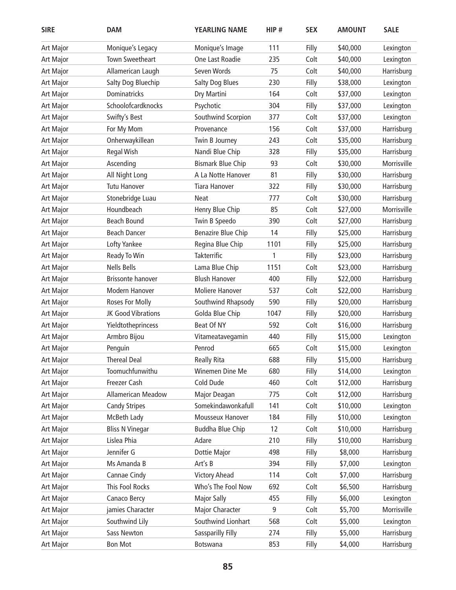| <b>SIRE</b>      | <b>DAM</b>                | <b>YEARLING NAME</b>      | HIP# | <b>SEX</b> | <b>AMOUNT</b> | <b>SALE</b> |
|------------------|---------------------------|---------------------------|------|------------|---------------|-------------|
| Art Major        | Monique's Legacy          | Monique's Image           | 111  | Filly      | \$40,000      | Lexington   |
| Art Major        | <b>Town Sweetheart</b>    | One Last Roadie           | 235  | Colt       | \$40,000      | Lexington   |
| Art Major        | Allamerican Laugh         | Seven Words               | 75   | Colt       | \$40,000      | Harrisburg  |
| Art Major        | Salty Dog Bluechip        | Salty Dog Blues           | 230  | Filly      | \$38,000      | Lexington   |
| Art Major        | <b>Dominatricks</b>       | Dry Martini               | 164  | Colt       | \$37,000      | Lexington   |
| Art Major        | Schoolofcardknocks        | Psychotic                 | 304  | Filly      | \$37,000      | Lexington   |
| Art Major        | Swifty's Best             | Southwind Scorpion        | 377  | Colt       | \$37,000      | Lexington   |
| Art Major        | For My Mom                | Provenance                | 156  | Colt       | \$37,000      | Harrisburg  |
| Art Major        | Onherwaykillean           | Twin B Journey            | 243  | Colt       | \$35,000      | Harrisburg  |
| Art Major        | <b>Regal Wish</b>         | Nandi Blue Chip           | 328  | Filly      | \$35,000      | Harrisburg  |
| Art Major        | Ascending                 | <b>Bismark Blue Chip</b>  | 93   | Colt       | \$30,000      | Morrisville |
| <b>Art Major</b> | All Night Long            | A La Notte Hanover        | 81   | Filly      | \$30,000      | Harrisburg  |
| Art Major        | <b>Tutu Hanover</b>       | <b>Tiara Hanover</b>      | 322  | Filly      | \$30,000      | Harrisburg  |
| <b>Art Major</b> | Stonebridge Luau          | <b>Neat</b>               | 777  | Colt       | \$30,000      | Harrisburg  |
| Art Major        | Houndbeach                | Henry Blue Chip           | 85   | Colt       | \$27,000      | Morrisville |
| <b>Art Major</b> | <b>Beach Bound</b>        | Twin B Speedo             | 390  | Colt       | \$27,000      | Harrisburg  |
| Art Major        | <b>Beach Dancer</b>       | <b>Benazire Blue Chip</b> | 14   | Filly      | \$25,000      | Harrisburg  |
| Art Major        | Lofty Yankee              | Regina Blue Chip          | 1101 | Filly      | \$25,000      | Harrisburg  |
| Art Major        | Ready To Win              | <b>Takterrific</b>        | 1    | Filly      | \$23,000      | Harrisburg  |
| Art Major        | <b>Nells Bells</b>        | Lama Blue Chip            | 1151 | Colt       | \$23,000      | Harrisburg  |
| Art Major        | <b>Brissonte hanover</b>  | <b>Blush Hanover</b>      | 400  | Filly      | \$22,000      | Harrisburg  |
| Art Major        | Modern Hanover            | <b>Moliere Hanover</b>    | 537  | Colt       | \$22,000      | Harrisburg  |
| Art Major        | Roses For Molly           | Southwind Rhapsody        | 590  | Filly      | \$20,000      | Harrisburg  |
| <b>Art Major</b> | JK Good Vibrations        | Golda Blue Chip           | 1047 | Filly      | \$20,000      | Harrisburg  |
| <b>Art Major</b> | Yieldtotheprincess        | Beat Of NY                | 592  | Colt       | \$16,000      | Harrisburg  |
| Art Major        | Armbro Bijou              | Vitameatavegamin          | 440  | Filly      | \$15,000      | Lexington   |
| <b>Art Major</b> | Penguin                   | Penrod                    | 665  | Colt       | \$15,000      | Lexington   |
| Art Major        | <b>Thereal Deal</b>       | Really Rita               | 688  | Filly      | \$15,000      | Harrisburg  |
| <b>Art Major</b> | Toomuchfunwithu           | Winemen Dine Me           | 680  | Filly      | \$14,000      | Lexington   |
| <b>Art Major</b> | Freezer Cash              | Cold Dude                 | 460  | Colt       | \$12,000      | Harrisburg  |
| <b>Art Major</b> | <b>Allamerican Meadow</b> | Major Deagan              | 775  | Colt       | \$12,000      | Harrisburg  |
| <b>Art Major</b> | <b>Candy Stripes</b>      | Somekindawonkafull        | 141  | Colt       | \$10,000      | Lexington   |
| <b>Art Major</b> | McBeth Lady               | Mousseux Hanover          | 184  | Filly      | \$10,000      | Lexington   |
| <b>Art Major</b> | <b>Bliss N Vinegar</b>    | <b>Buddha Blue Chip</b>   | 12   | Colt       | \$10,000      | Harrisburg  |
| <b>Art Major</b> | Lislea Phia               | Adare                     | 210  | Filly      | \$10,000      | Harrisburg  |
| <b>Art Major</b> | Jennifer G                | Dottie Major              | 498  | Filly      | \$8,000       | Harrisburg  |
| <b>Art Major</b> | Ms Amanda B               | Art's B                   | 394  | Filly      | \$7,000       | Lexington   |
| <b>Art Major</b> | Cannae Cindy              | <b>Victory Ahead</b>      | 114  | Colt       | \$7,000       | Harrisburg  |
| Art Major        | This Fool Rocks           | Who's The Fool Now        | 692  | Colt       | \$6,500       | Harrisburg  |
| <b>Art Major</b> | Canaco Bercy              | <b>Major Sally</b>        | 455  | Filly      | \$6,000       | Lexington   |
| <b>Art Major</b> | jamies Character          | Major Character           | 9    | Colt       | \$5,700       | Morrisville |
| <b>Art Major</b> | Southwind Lily            | Southwind Lionhart        | 568  | Colt       | \$5,000       | Lexington   |
| <b>Art Major</b> | Sass Newton               | Sassparilly Filly         | 274  | Filly      | \$5,000       | Harrisburg  |
| <b>Art Major</b> | <b>Bon Mot</b>            | Botswana                  | 853  | Filly      | \$4,000       | Harrisburg  |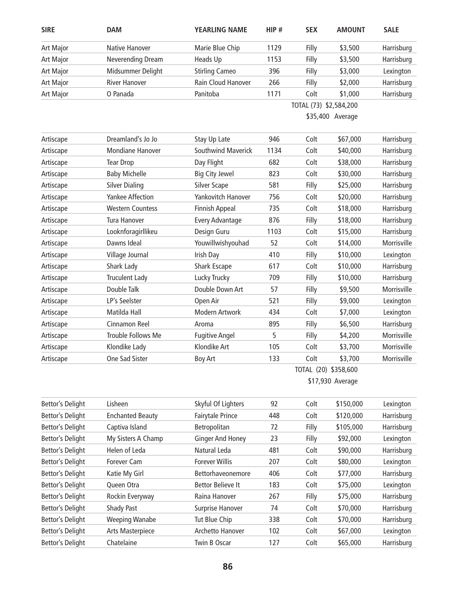| <b>SIRE</b>             | <b>DAM</b>              | <b>YEARLING NAME</b>     | HIP# | <b>SEX</b>             | <b>AMOUNT</b>        | <b>SALE</b> |
|-------------------------|-------------------------|--------------------------|------|------------------------|----------------------|-------------|
| Art Major               | Native Hanover          | Marie Blue Chip          | 1129 | Filly                  | \$3,500              | Harrisburg  |
| Art Major               | Neverending Dream       | Heads Up                 | 1153 | Filly                  | \$3,500              | Harrisburg  |
| Art Major               | Midsummer Delight       | <b>Stirling Cameo</b>    | 396  | Filly                  | \$3,000              | Lexington   |
| Art Major               | <b>River Hanover</b>    | Rain Cloud Hanover       | 266  | Filly                  | \$2,000              | Harrisburg  |
| Art Major               | O Panada                | Panitoba                 | 1171 | Colt                   | \$1,000              | Harrisburg  |
|                         |                         |                          |      | TOTAL (73) \$2,584,200 |                      |             |
|                         |                         |                          |      |                        | \$35,400 Average     |             |
| Artiscape               | Dreamland's Jo Jo       | Stay Up Late             | 946  | Colt                   | \$67,000             | Harrisburg  |
| Artiscape               | <b>Mondiane Hanover</b> | Southwind Maverick       | 1134 | Colt                   | \$40,000             | Harrisburg  |
| Artiscape               | <b>Tear Drop</b>        | Day Flight               | 682  | Colt                   | \$38,000             | Harrisburg  |
| Artiscape               | <b>Baby Michelle</b>    | <b>Big City Jewel</b>    | 823  | Colt                   | \$30,000             | Harrisburg  |
| Artiscape               | <b>Silver Dialing</b>   | <b>Silver Scape</b>      | 581  | Filly                  | \$25,000             | Harrisburg  |
| Artiscape               | <b>Yankee Affection</b> | Yankovitch Hanover       | 756  | Colt                   | \$20,000             | Harrisburg  |
| Artiscape               | <b>Western Countess</b> | <b>Finnish Appeal</b>    | 735  | Colt                   | \$18,000             | Harrisburg  |
| Artiscape               | Tura Hanover            | Every Advantage          | 876  | Filly                  | \$18,000             | Harrisburg  |
| Artiscape               | Looknforagirllikeu      | Design Guru              | 1103 | Colt                   | \$15,000             | Harrisburg  |
| Artiscape               | Dawns Ideal             | Youwillwishyouhad        | 52   | Colt                   | \$14,000             | Morrisville |
| Artiscape               | Village Journal         | Irish Day                | 410  | Filly                  | \$10,000             | Lexington   |
| Artiscape               | Shark Lady              | <b>Shark Escape</b>      | 617  | Colt                   | \$10,000             | Harrisburg  |
| Artiscape               | <b>Truculent Lady</b>   | Lucky Trucky             | 709  | Filly                  | \$10,000             | Harrisburg  |
| Artiscape               | Double Talk             | Double Down Art          | 57   | Filly                  | \$9,500              | Morrisville |
| Artiscape               | LP's Seelster           | Open Air                 | 521  | Filly                  | \$9,000              | Lexington   |
| Artiscape               | Matilda Hall            | Modern Artwork           | 434  | Colt                   | \$7,000              | Lexington   |
| Artiscape               | Cinnamon Reel           | Aroma                    | 895  | Filly                  | \$6,500              | Harrisburg  |
| Artiscape               | Trouble Follows Me      | <b>Fugitive Angel</b>    | 5    | Filly                  | \$4,200              | Morrisville |
| Artiscape               | Klondike Lady           | Klondike Art             | 105  | Colt                   | \$3,700              | Morrisville |
| Artiscape               | One Sad Sister          | <b>Boy Art</b>           | 133  | Colt                   | \$3,700              | Morrisville |
|                         |                         |                          |      |                        | TOTAL (20) \$358,600 |             |
|                         |                         |                          |      |                        | \$17,930 Average     |             |
| <b>Bettor's Delight</b> | Lisheen                 | Skyful Of Lighters       | 92   | Colt                   | \$150,000            | Lexington   |
| <b>Bettor's Delight</b> | <b>Enchanted Beauty</b> | Fairytale Prince         | 448  | Colt                   | \$120,000            | Harrisburg  |
| <b>Bettor's Delight</b> | Captiva Island          | Betropolitan             | 72   | Filly                  | \$105,000            | Harrisburg  |
| <b>Bettor's Delight</b> | My Sisters A Champ      | <b>Ginger And Honey</b>  | 23   | Filly                  | \$92,000             | Lexington   |
| <b>Bettor's Delight</b> | Helen of Leda           | Natural Leda             | 481  | Colt                   | \$90,000             | Harrisburg  |
| <b>Bettor's Delight</b> | Forever Cam             | <b>Forever Willis</b>    | 207  | Colt                   | \$80,000             | Lexington   |
| <b>Bettor's Delight</b> | Katie My Girl           | Bettorhaveonemore        | 406  | Colt                   | \$77,000             | Harrisburg  |
| <b>Rettor's Delight</b> | Oueen Otra              | <b>Rettor Relieve It</b> | 183  | Colt.                  | \$75.000.            | notonival   |

| Bettor's Delignt | Forever Cam       | <b>FOREVER VVIIIIS</b> | ZU I | COIL  | <b>DUU.UOC</b> | Lexington  |
|------------------|-------------------|------------------------|------|-------|----------------|------------|
| Bettor's Delight | Katie My Girl     | Bettorhaveonemore      | 406  | Colt  | \$77,000       | Harrisburg |
| Bettor's Delight | Queen Otra        | Bettor Believe It      | 183  | Colt  | \$75,000       | Lexington  |
| Bettor's Delight | Rockin Everyway   | Raina Hanover          | 267  | Filly | \$75,000       | Harrisburg |
| Bettor's Delight | <b>Shady Past</b> | Surprise Hanover       | 74   | Colt  | \$70,000       | Harrisburg |
| Bettor's Delight | Weeping Wanabe    | Tut Blue Chip          | 338  | Colt  | \$70,000       | Harrisburg |
| Bettor's Delight | Arts Masterpiece  | Archetto Hanover       | 102  | Colt  | \$67,000       | Lexington  |
| Bettor's Delight | Chatelaine        | Twin B Oscar           | 127  | Colt  | \$65,000       | Harrisburg |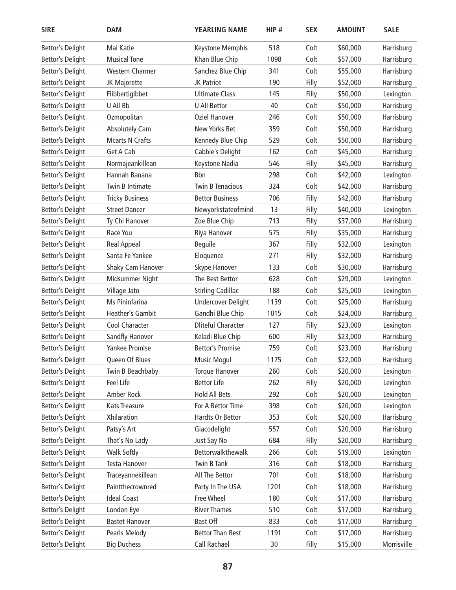| <b>SIRE</b>             | <b>DAM</b>              | YEARLING NAME             | HIP# | <b>SEX</b> | <b>AMOUNT</b> | <b>SALE</b> |
|-------------------------|-------------------------|---------------------------|------|------------|---------------|-------------|
| <b>Bettor's Delight</b> | Mai Katie               | Keystone Memphis          | 518  | Colt       | \$60,000      | Harrisburg  |
| <b>Bettor's Delight</b> | <b>Musical Tone</b>     | Khan Blue Chip            | 1098 | Colt       | \$57,000      | Harrisburg  |
| <b>Bettor's Delight</b> | <b>Western Charmer</b>  | Sanchez Blue Chip         | 341  | Colt       | \$55,000      | Harrisburg  |
| <b>Bettor's Delight</b> | JK Majorette            | JK Patriot                | 190  | Filly      | \$52,000      | Harrisburg  |
| <b>Bettor's Delight</b> | Flibbertigibbet         | <b>Ultimate Class</b>     | 145  | Filly      | \$50,000      | Lexington   |
| <b>Bettor's Delight</b> | U All Bb                | <b>U All Bettor</b>       | 40   | Colt       | \$50,000      | Harrisburg  |
| <b>Bettor's Delight</b> | Ozmopolitan             | <b>Oziel Hanover</b>      | 246  | Colt       | \$50,000      | Harrisburg  |
| <b>Bettor's Delight</b> | <b>Absolutely Cam</b>   | New Yorks Bet             | 359  | Colt       | \$50,000      | Harrisburg  |
| <b>Bettor's Delight</b> | <b>Mcarts N Crafts</b>  | Kennedy Blue Chip         | 529  | Colt       | \$50,000      | Harrisburg  |
| <b>Bettor's Delight</b> | Get A Cab               | Cabbie's Delight          | 162  | Colt       | \$45,000      | Harrisburg  |
| <b>Bettor's Delight</b> | Normajeankillean        | Keystone Nadia            | 546  | Filly      | \$45,000      | Harrisburg  |
| <b>Bettor's Delight</b> | Hannah Banana           | <b>B</b> bn               | 298  | Colt       | \$42,000      | Lexington   |
| <b>Bettor's Delight</b> | Twin B Intimate         | <b>Twin B Tenacious</b>   | 324  | Colt       | \$42,000      | Harrisburg  |
| <b>Bettor's Delight</b> | <b>Tricky Business</b>  | <b>Bettor Business</b>    | 706  | Filly      | \$42,000      | Harrisburg  |
| <b>Bettor's Delight</b> | <b>Street Dancer</b>    | Newyorkstateofmind        | 13   | Filly      | \$40,000      | Lexington   |
| <b>Bettor's Delight</b> | Ty Chi Hanover          | Zoe Blue Chip             | 713  | Filly      | \$37,000      | Harrisburg  |
| <b>Bettor's Delight</b> | Race You                | Riya Hanover              | 575  | Filly      | \$35,000      | Harrisburg  |
| <b>Bettor's Delight</b> | <b>Real Appeal</b>      | <b>Beguile</b>            | 367  | Filly      | \$32,000      | Lexington   |
| <b>Bettor's Delight</b> | Santa Fe Yankee         | Eloquence                 | 271  | Filly      | \$32,000      | Harrisburg  |
| <b>Bettor's Delight</b> | Shaky Cam Hanover       | Skype Hanover             | 133  | Colt       | \$30,000      | Harrisburg  |
| <b>Bettor's Delight</b> | Midsummer Night         | The Best Bettor           | 628  | Colt       | \$29,000      | Lexington   |
| <b>Bettor's Delight</b> | Village Jato            | <b>Stirling Cadillac</b>  | 188  | Colt       | \$25,000      | Lexington   |
| <b>Bettor's Delight</b> | Ms Pininfarina          | <b>Undercover Delight</b> | 1139 | Colt       | \$25,000      | Harrisburg  |
| <b>Bettor's Delight</b> | <b>Heather's Gambit</b> | Gandhi Blue Chip          | 1015 | Colt       | \$24,000      | Harrisburg  |
| <b>Bettor's Delight</b> | Cool Character          | <b>Dliteful Character</b> | 127  | Filly      | \$23,000      | Lexington   |
| <b>Bettor's Delight</b> | Sandfly Hanover         | Keladi Blue Chip          | 600  | Filly      | \$23,000      | Harrisburg  |
| <b>Bettor's Delight</b> | <b>Yankee Promise</b>   | <b>Bettor's Promise</b>   | 759  | Colt       | \$23,000      | Harrisburg  |
| <b>Bettor's Delight</b> | Queen Of Blues          | <b>Music Mogul</b>        | 1175 | Colt       | \$22,000      | Harrisburg  |
| <b>Bettor's Delight</b> | Twin B Beachbaby        | <b>Torque Hanover</b>     | 260  | Colt       | \$20,000      | Lexington   |
| <b>Bettor's Delight</b> | Feel Life               | <b>Bettor Life</b>        | 262  | Filly      | \$20,000      | Lexington   |
| Bettor's Delight        | Amber Rock              | <b>Hold All Bets</b>      | 292  | Colt       | \$20,000      | Lexington   |
| <b>Bettor's Delight</b> | Kats Treasure           | For A Bettor Time         | 398  | Colt       | \$20,000      | Lexington   |
| <b>Bettor's Delight</b> | Xhilaration             | Hardts Or Bettor          | 353  | Colt       | \$20,000      | Harrisburg  |
| <b>Bettor's Delight</b> | Patsy's Art             | Giacodelight              | 557  | Colt       | \$20,000      | Harrisburg  |
| <b>Bettor's Delight</b> | That's No Lady          | Just Say No               | 684  | Filly      | \$20,000      | Harrisburg  |
| <b>Bettor's Delight</b> | <b>Walk Softly</b>      | Bettorwalkthewalk         | 266  | Colt       | \$19,000      | Lexington   |
| <b>Bettor's Delight</b> | Testa Hanover           | Twin B Tank               | 316  | Colt       | \$18,000      | Harrisburg  |
| <b>Bettor's Delight</b> | Traceyannekillean       | All The Bettor            | 701  | Colt       | \$18,000      | Harrisburg  |
| <b>Bettor's Delight</b> | Paintthecrownred        | Party In The USA          | 1201 | Colt       | \$18,000      | Harrisburg  |
| <b>Bettor's Delight</b> | <b>Ideal Coast</b>      | Free Wheel                | 180  | Colt       | \$17,000      | Harrisburg  |
| <b>Bettor's Delight</b> | London Eye              | <b>River Thames</b>       | 510  | Colt       | \$17,000      | Harrisburg  |
| <b>Bettor's Delight</b> | <b>Bastet Hanover</b>   | <b>Bast Off</b>           | 833  | Colt       | \$17,000      | Harrisburg  |
| <b>Bettor's Delight</b> | Pearls Melody           | <b>Bettor Than Best</b>   | 1191 | Colt       | \$17,000      | Harrisburg  |
| <b>Bettor's Delight</b> | <b>Big Duchess</b>      | Call Rachael              | 30   | Filly      | \$15,000      | Morrisville |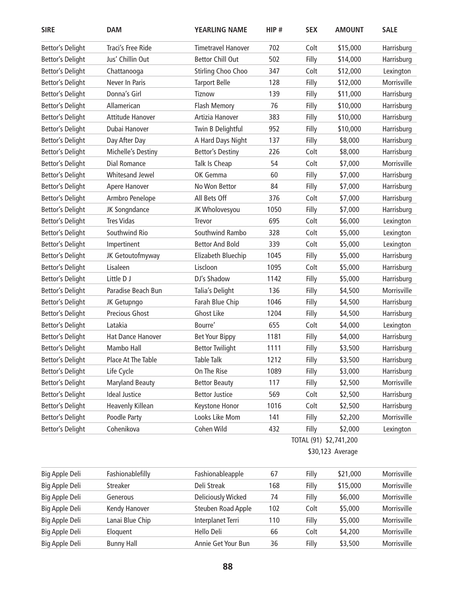| <b>SIRE</b>             | <b>DAM</b>              | <b>YEARLING NAME</b>      | HIP#             | <b>SEX</b>             | <b>AMOUNT</b> | <b>SALE</b> |
|-------------------------|-------------------------|---------------------------|------------------|------------------------|---------------|-------------|
| <b>Bettor's Delight</b> | Traci's Free Ride       | <b>Timetravel Hanover</b> | 702              | Colt                   | \$15,000      | Harrisburg  |
| <b>Bettor's Delight</b> | Jus' Chillin Out        | <b>Bettor Chill Out</b>   | 502              | Filly                  | \$14,000      | Harrisburg  |
| <b>Bettor's Delight</b> | Chattanooga             | Stirling Choo Choo        | 347              | Colt                   | \$12,000      | Lexington   |
| <b>Bettor's Delight</b> | Never In Paris          | <b>Tarport Belle</b>      | 128              | Filly                  | \$12,000      | Morrisville |
| <b>Bettor's Delight</b> | Donna's Girl            | Tiznow                    | 139              | Filly                  | \$11,000      | Harrisburg  |
| <b>Bettor's Delight</b> | Allamerican             | <b>Flash Memory</b>       | 76               | Filly                  | \$10,000      | Harrisburg  |
| <b>Bettor's Delight</b> | Attitude Hanover        | Artizia Hanover           | 383              | Filly                  | \$10,000      | Harrisburg  |
| <b>Bettor's Delight</b> | Dubai Hanover           | Twin B Delightful         | 952              | Filly                  | \$10,000      | Harrisburg  |
| <b>Bettor's Delight</b> | Day After Day           | A Hard Days Night         | 137              | Filly                  | \$8,000       | Harrisburg  |
| <b>Bettor's Delight</b> | Michelle's Destiny      | <b>Bettor's Destiny</b>   | 226              | Colt                   | \$8,000       | Harrisburg  |
| <b>Bettor's Delight</b> | Dial Romance            | Talk Is Cheap             | 54               | Colt                   | \$7,000       | Morrisville |
| <b>Bettor's Delight</b> | <b>Whitesand Jewel</b>  | OK Gemma                  | 60               | Filly                  | \$7,000       | Harrisburg  |
| <b>Bettor's Delight</b> | Apere Hanover           | No Won Bettor             | 84               | Filly                  | \$7,000       | Harrisburg  |
| <b>Bettor's Delight</b> | Armbro Penelope         | All Bets Off              | 376              | Colt                   | \$7,000       | Harrisburg  |
| <b>Bettor's Delight</b> | JK Songndance           | JK Wholovesyou            | 1050             | Filly                  | \$7,000       | Harrisburg  |
| <b>Bettor's Delight</b> | <b>Tres Vidas</b>       | Trevor                    | 695              | Colt                   | \$6,000       | Lexington   |
| Bettor's Delight        | Southwind Rio           | Southwind Rambo           | 328              | Colt                   | \$5,000       | Lexington   |
| Bettor's Delight        | Impertinent             | <b>Bettor And Bold</b>    | 339              | Colt                   | \$5,000       | Lexington   |
| <b>Bettor's Delight</b> | JK Getoutofmyway        | Elizabeth Bluechip        | 1045             | Filly                  | \$5,000       | Harrisburg  |
| <b>Bettor's Delight</b> | Lisaleen                | Liscloon                  | 1095             | Colt                   | \$5,000       | Harrisburg  |
| <b>Bettor's Delight</b> | Little D J              | DJ's Shadow               | 1142             | Filly                  | \$5,000       | Harrisburg  |
| <b>Bettor's Delight</b> | Paradise Beach Bun      | Talia's Delight           | 136              | Filly                  | \$4,500       | Morrisville |
| <b>Bettor's Delight</b> | JK Getupngo             | Farah Blue Chip           | 1046             | Filly                  | \$4,500       | Harrisburg  |
| <b>Bettor's Delight</b> | <b>Precious Ghost</b>   | <b>Ghost Like</b>         | 1204             | Filly                  | \$4,500       | Harrisburg  |
| <b>Bettor's Delight</b> | Latakia                 | Bourre'                   | 655              | Colt                   | \$4,000       | Lexington   |
| <b>Bettor's Delight</b> | Hat Dance Hanover       | <b>Bet Your Bippy</b>     | 1181             | Filly                  | \$4,000       | Harrisburg  |
| <b>Bettor's Delight</b> | Mambo Hall              | <b>Bettor Twilight</b>    | 1111             | Filly                  | \$3,500       | Harrisburg  |
| <b>Bettor's Delight</b> | Place At The Table      | Table Talk                | 1212             | Filly                  | \$3,500       | Harrisburg  |
| <b>Bettor's Delight</b> | Life Cycle              | On The Rise               | 1089             | Filly                  | \$3,000       | Harrisburg  |
| <b>Bettor's Delight</b> | <b>Maryland Beauty</b>  | <b>Bettor Beauty</b>      | 117              | Filly                  | \$2,500       | Morrisville |
| <b>Bettor's Delight</b> | <b>Ideal Justice</b>    | <b>Bettor Justice</b>     | 569              | Colt                   | \$2,500       | Harrisburg  |
| <b>Bettor's Delight</b> | <b>Heavenly Killean</b> | Keystone Honor            | 1016             | Colt                   | \$2,500       | Harrisburg  |
| <b>Bettor's Delight</b> | Poodle Party            | Looks Like Mom            | 141              | Filly                  | \$2,200       | Morrisville |
| Bettor's Delight        | Cohenikova              | Cohen Wild                | 432              | Filly                  | \$2,000       | Lexington   |
|                         |                         |                           |                  | TOTAL (91) \$2,741,200 |               |             |
|                         |                         |                           | \$30,123 Average |                        |               |             |
| Big Apple Deli          | Fashionablefilly        | Fashionableapple          | 67               | Filly                  | \$21,000      | Morrisville |
| Big Apple Deli          | Streaker                | Deli Streak               | 168              | Filly                  | \$15,000      | Morrisville |
| Big Apple Deli          | Generous                | <b>Deliciously Wicked</b> | 74               | Filly                  | \$6,000       | Morrisville |
| Big Apple Deli          | Kendy Hanover           | Steuben Road Apple        | 102              | Colt                   | \$5,000       | Morrisville |
| Big Apple Deli          | Lanai Blue Chip         | Interplanet Terri         | 110              | Filly                  | \$5,000       | Morrisville |
| Big Apple Deli          | Eloquent                | Hello Deli                | 66               | Colt                   | \$4,200       | Morrisville |

Big Apple Deli Bunny Hall **Annie Get Your Bun** 36 Filly \$3,500 Morrisville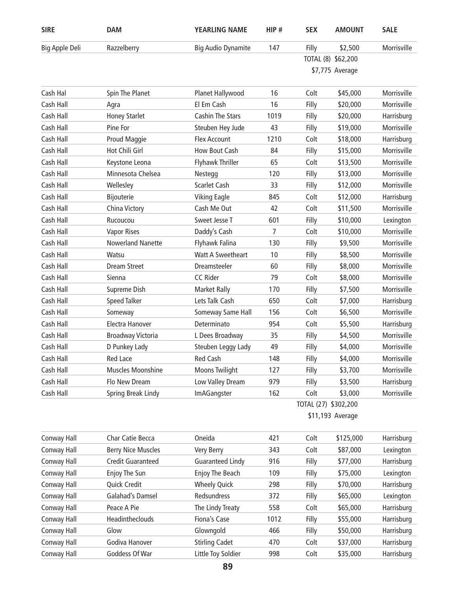| <b>SIRE</b>    | <b>DAM</b>                | <b>YEARLING NAME</b>      | HIP# | <b>SEX</b> | <b>AMOUNT</b>        | <b>SALE</b> |
|----------------|---------------------------|---------------------------|------|------------|----------------------|-------------|
| Big Apple Deli | Razzelberry               | <b>Big Audio Dynamite</b> | 147  | Filly      | \$2,500              | Morrisville |
|                |                           |                           |      |            | TOTAL (8) \$62,200   |             |
|                |                           |                           |      |            | \$7,775 Average      |             |
| Cash Hal       | Spin The Planet           | Planet Hallywood          | 16   | Colt       | \$45,000             | Morrisville |
| Cash Hall      | Agra                      | El Em Cash                | 16   | Filly      | \$20,000             | Morrisville |
| Cash Hall      | <b>Honey Starlet</b>      | <b>Cashin The Stars</b>   | 1019 | Filly      | \$20,000             | Harrisburg  |
| Cash Hall      | Pine For                  | Steuben Hey Jude          | 43   | Filly      | \$19,000             | Morrisville |
| Cash Hall      | Proud Maggie              | <b>Flex Account</b>       | 1210 | Colt       | \$18,000             | Harrisburg  |
| Cash Hall      | Hot Chili Girl            | How Bout Cash             | 84   | Filly      | \$15,000             | Morrisville |
| Cash Hall      | Keystone Leona            | Flyhawk Thriller          | 65   | Colt       | \$13,500             | Morrisville |
| Cash Hall      | Minnesota Chelsea         | Nestegg                   | 120  | Filly      | \$13,000             | Morrisville |
| Cash Hall      | Wellesley                 | <b>Scarlet Cash</b>       | 33   | Filly      | \$12,000             | Morrisville |
| Cash Hall      | Bijouterie                | <b>Viking Eagle</b>       | 845  | Colt       | \$12,000             | Harrisburg  |
| Cash Hall      | China Victory             | Cash Me Out               | 42   | Colt       | \$11,500             | Morrisville |
| Cash Hall      | Rucoucou                  | Sweet Jesse T             | 601  | Filly      | \$10,000             | Lexington   |
| Cash Hall      | <b>Vapor Rises</b>        | Daddy's Cash              | 7    | Colt       | \$10,000             | Morrisville |
| Cash Hall      | <b>Nowerland Nanette</b>  | Flyhawk Falina            | 130  | Filly      | \$9,500              | Morrisville |
| Cash Hall      | Watsu                     | <b>Watt A Sweetheart</b>  | 10   | Filly      | \$8,500              | Morrisville |
| Cash Hall      | <b>Dream Street</b>       | Dreamsteeler              | 60   | Filly      | \$8,000              | Morrisville |
| Cash Hall      | Sienna                    | <b>CC Rider</b>           | 79   | Colt       | \$8,000              | Morrisville |
| Cash Hall      | Supreme Dish              | <b>Market Rally</b>       | 170  | Filly      | \$7,500              | Morrisville |
| Cash Hall      | <b>Speed Talker</b>       | Lets Talk Cash            | 650  | Colt       | \$7,000              | Harrisburg  |
| Cash Hall      | Someway                   | Someway Same Hall         | 156  | Colt       | \$6,500              | Morrisville |
| Cash Hall      | Electra Hanover           | Determinato               | 954  | Colt       | \$5,500              | Harrisburg  |
| Cash Hall      | <b>Broadway Victoria</b>  | L Dees Broadway           | 35   | Filly      | \$4,500              | Morrisville |
| Cash Hall      | D Punkey Lady             | Steuben Leggy Lady        | 49   | Filly      | \$4,000              | Morrisville |
| Cash Hall      | Red Lace                  | Red Cash                  | 148  | Filly      | \$4,000              | Morrisville |
| Cash Hall      | Muscles Moonshine         | <b>Moons Twilight</b>     | 127  | Filly      | \$3,700              | Morrisville |
| Cash Hall      | Flo New Dream             | Low Valley Dream          | 979  | Filly      | \$3,500              | Harrisburg  |
| Cash Hall      | Spring Break Lindy        | <b>ImAGangster</b>        | 162  | Colt       | \$3,000              | Morrisville |
|                |                           |                           |      |            | TOTAL (27) \$302,200 |             |
|                |                           |                           |      |            | \$11,193 Average     |             |
| Conway Hall    | Char Catie Becca          | Oneida                    | 421  | Colt       | \$125,000            | Harrisburg  |
| Conway Hall    | <b>Berry Nice Muscles</b> | Very Berry                | 343  | Colt       | \$87,000             | Lexington   |
| Conway Hall    | <b>Credit Guaranteed</b>  | <b>Guaranteed Lindy</b>   | 916  | Filly      | \$77,000             | Harrisburg  |
| Conway Hall    | Enjoy The Sun             | Enjoy The Beach           | 109  | Filly      | \$75,000             | Lexington   |
| Conway Hall    | Quick Credit              | <b>Wheely Quick</b>       | 298  | Filly      | \$70,000             | Harrisburg  |
| Conway Hall    | Galahad's Damsel          | Redsundress               | 372  | Filly      | \$65,000             | Lexington   |
| Conway Hall    | Peace A Pie               | The Lindy Treaty          | 558  | Colt       | \$65,000             | Harrisburg  |
| Conway Hall    | Headintheclouds           | Fiona's Case              | 1012 | Filly      | \$55,000             | Harrisburg  |
| Conway Hall    | Glow                      | Glowngold                 | 466  | Filly      | \$50,000             | Harrisburg  |
| Conway Hall    | Godiva Hanover            | <b>Stirling Cadet</b>     | 470  | Colt       | \$37,000             | Harrisburg  |
| Conway Hall    | Goddess Of War            | Little Toy Soldier        | 998  | Colt       | \$35,000             | Harrisburg  |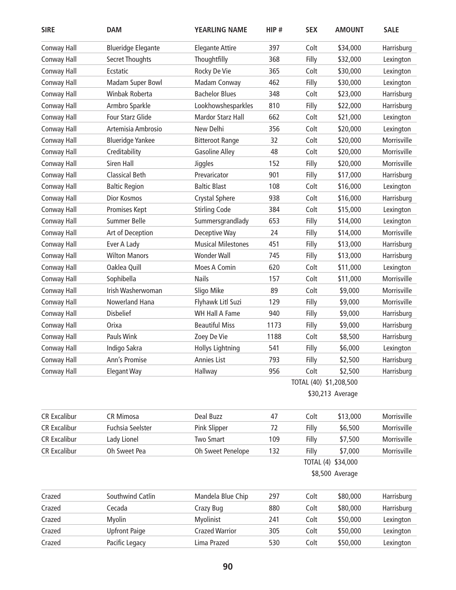| <b>SIRE</b>         | <b>DAM</b>                | <b>YEARLING NAME</b>      | HIP# | <b>SEX</b>             | <b>AMOUNT</b>      | <b>SALE</b> |
|---------------------|---------------------------|---------------------------|------|------------------------|--------------------|-------------|
| Conway Hall         | <b>Blueridge Elegante</b> | <b>Elegante Attire</b>    | 397  | Colt                   | \$34,000           | Harrisburg  |
| Conway Hall         | Secret Thoughts           | Thoughtfilly              | 368  | Filly                  | \$32,000           | Lexington   |
| Conway Hall         | Ecstatic                  | Rocky De Vie              | 365  | Colt                   | \$30,000           | Lexington   |
| Conway Hall         | Madam Super Bowl          | Madam Conway              | 462  | Filly                  | \$30,000           | Lexington   |
| Conway Hall         | Winbak Roberta            | <b>Bachelor Blues</b>     | 348  | Colt                   | \$23,000           | Harrisburg  |
| Conway Hall         | Armbro Sparkle            | Lookhowshesparkles        | 810  | Filly                  | \$22,000           | Harrisburg  |
| Conway Hall         | <b>Four Starz Glide</b>   | Mardor Starz Hall         | 662  | Colt                   | \$21,000           | Lexington   |
| Conway Hall         | Artemisia Ambrosio        | New Delhi                 | 356  | Colt                   | \$20,000           | Lexington   |
| Conway Hall         | <b>Blueridge Yankee</b>   | <b>Bitteroot Range</b>    | 32   | Colt                   | \$20,000           | Morrisville |
| Conway Hall         | Creditability             | <b>Gasoline Alley</b>     | 48   | Colt                   | \$20,000           | Morrisville |
| Conway Hall         | Siren Hall                | Jiggles                   | 152  | Filly                  | \$20,000           | Morrisville |
| Conway Hall         | <b>Classical Beth</b>     | Prevaricator              | 901  | Filly                  | \$17,000           | Harrisburg  |
| Conway Hall         | <b>Baltic Region</b>      | <b>Baltic Blast</b>       | 108  | Colt                   | \$16,000           | Lexington   |
| Conway Hall         | <b>Dior Kosmos</b>        | <b>Crystal Sphere</b>     | 938  | Colt                   | \$16,000           | Harrisburg  |
| Conway Hall         | Promises Kept             | <b>Stirling Code</b>      | 384  | Colt                   | \$15,000           | Lexington   |
| Conway Hall         | <b>Summer Belle</b>       | Summersgrandlady          | 653  | Filly                  | \$14,000           | Lexington   |
| Conway Hall         | Art of Deception          | Deceptive Way             | 24   | Filly                  | \$14,000           | Morrisville |
| Conway Hall         | Ever A Lady               | <b>Musical Milestones</b> | 451  | Filly                  | \$13,000           | Harrisburg  |
| Conway Hall         | <b>Wilton Manors</b>      | <b>Wonder Wall</b>        | 745  | Filly                  | \$13,000           | Harrisburg  |
| Conway Hall         | Oaklea Quill              | Moes A Comin              | 620  | Colt                   | \$11,000           | Lexington   |
| Conway Hall         | Sophibella                | <b>Nails</b>              | 157  | Colt                   | \$11,000           | Morrisville |
| Conway Hall         | Irish Washerwoman         | Sligo Mike                | 89   | Colt                   | \$9,000            | Morrisville |
| Conway Hall         | Nowerland Hana            | Flyhawk Litl Suzi         | 129  | Filly                  | \$9,000            | Morrisville |
| Conway Hall         | <b>Disbelief</b>          | <b>WH Hall A Fame</b>     | 940  | Filly                  | \$9,000            | Harrisburg  |
| Conway Hall         | Orixa                     | <b>Beautiful Miss</b>     | 1173 | Filly                  | \$9,000            | Harrisburg  |
| Conway Hall         | Pauls Wink                | Zoey De Vie               | 1188 | Colt                   | \$8,500            | Harrisburg  |
| Conway Hall         | Indigo Sakra              | <b>Hollys Lightning</b>   | 541  | Filly                  | \$6,000            | Lexington   |
| Conway Hall         | Ann's Promise             | Annies List               | 793  | Filly                  | \$2,500            | Harrisburg  |
| Conway Hall         | <b>Elegant Way</b>        | Hallway                   | 956  | Colt                   | \$2,500            | Harrisburg  |
|                     |                           |                           |      | TOTAL (40) \$1,208,500 |                    |             |
|                     |                           |                           |      |                        | \$30,213 Average   |             |
| <b>CR Excalibur</b> | <b>CR Mimosa</b>          | Deal Buzz                 | 47   | Colt                   | \$13,000           | Morrisville |
| <b>CR Excalibur</b> | <b>Fuchsia Seelster</b>   | Pink Slipper              | 72   | Filly                  | \$6,500            | Morrisville |
| <b>CR Excalibur</b> | Lady Lionel               | <b>Two Smart</b>          | 109  | Filly                  | \$7,500            | Morrisville |
| <b>CR Excalibur</b> | Oh Sweet Pea              | Oh Sweet Penelope         | 132  | Filly                  | \$7,000            | Morrisville |
|                     |                           |                           |      |                        | TOTAL (4) \$34,000 |             |
|                     |                           |                           |      |                        | \$8,500 Average    |             |
| Crazed              | Southwind Catlin          | Mandela Blue Chip         | 297  | Colt                   | \$80,000           | Harrisburg  |
| Crazed              | Cecada                    | Crazy Bug                 | 880  | Colt                   | \$80,000           | Harrisburg  |
| Crazed              | Myolin                    | Myolinist                 | 241  | Colt                   | \$50,000           | Lexington   |
| Crazed              | <b>Upfront Paige</b>      | <b>Crazed Warrior</b>     | 305  | Colt                   | \$50,000           | Lexington   |
| Crazed              | Pacific Legacy            | Lima Prazed               | 530  | Colt                   | \$50,000           | Lexington   |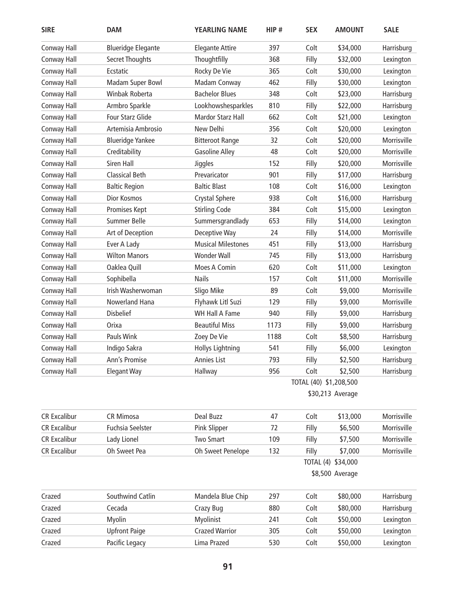| <b>SIRE</b>         | <b>DAM</b>                | <b>YEARLING NAME</b>      | HIP# | <b>SEX</b>             | <b>AMOUNT</b>      | <b>SALE</b> |
|---------------------|---------------------------|---------------------------|------|------------------------|--------------------|-------------|
| Conway Hall         | <b>Blueridge Elegante</b> | <b>Elegante Attire</b>    | 397  | Colt                   | \$34,000           | Harrisburg  |
| Conway Hall         | Secret Thoughts           | Thoughtfilly              | 368  | Filly                  | \$32,000           | Lexington   |
| Conway Hall         | Ecstatic                  | Rocky De Vie              | 365  | Colt                   | \$30,000           | Lexington   |
| Conway Hall         | Madam Super Bowl          | Madam Conway              | 462  | Filly                  | \$30,000           | Lexington   |
| Conway Hall         | Winbak Roberta            | <b>Bachelor Blues</b>     | 348  | Colt                   | \$23,000           | Harrisburg  |
| Conway Hall         | Armbro Sparkle            | Lookhowshesparkles        | 810  | Filly                  | \$22,000           | Harrisburg  |
| Conway Hall         | <b>Four Starz Glide</b>   | Mardor Starz Hall         | 662  | Colt                   | \$21,000           | Lexington   |
| Conway Hall         | Artemisia Ambrosio        | New Delhi                 | 356  | Colt                   | \$20,000           | Lexington   |
| Conway Hall         | <b>Blueridge Yankee</b>   | <b>Bitteroot Range</b>    | 32   | Colt                   | \$20,000           | Morrisville |
| Conway Hall         | Creditability             | <b>Gasoline Alley</b>     | 48   | Colt                   | \$20,000           | Morrisville |
| Conway Hall         | Siren Hall                | Jiggles                   | 152  | Filly                  | \$20,000           | Morrisville |
| Conway Hall         | <b>Classical Beth</b>     | Prevaricator              | 901  | Filly                  | \$17,000           | Harrisburg  |
| Conway Hall         | <b>Baltic Region</b>      | <b>Baltic Blast</b>       | 108  | Colt                   | \$16,000           | Lexington   |
| Conway Hall         | <b>Dior Kosmos</b>        | <b>Crystal Sphere</b>     | 938  | Colt                   | \$16,000           | Harrisburg  |
| Conway Hall         | Promises Kept             | <b>Stirling Code</b>      | 384  | Colt                   | \$15,000           | Lexington   |
| Conway Hall         | <b>Summer Belle</b>       | Summersgrandlady          | 653  | Filly                  | \$14,000           | Lexington   |
| Conway Hall         | Art of Deception          | Deceptive Way             | 24   | Filly                  | \$14,000           | Morrisville |
| Conway Hall         | Ever A Lady               | <b>Musical Milestones</b> | 451  | Filly                  | \$13,000           | Harrisburg  |
| Conway Hall         | <b>Wilton Manors</b>      | <b>Wonder Wall</b>        | 745  | Filly                  | \$13,000           | Harrisburg  |
| Conway Hall         | Oaklea Quill              | Moes A Comin              | 620  | Colt                   | \$11,000           | Lexington   |
| Conway Hall         | Sophibella                | <b>Nails</b>              | 157  | Colt                   | \$11,000           | Morrisville |
| Conway Hall         | Irish Washerwoman         | Sligo Mike                | 89   | Colt                   | \$9,000            | Morrisville |
| Conway Hall         | Nowerland Hana            | Flyhawk Litl Suzi         | 129  | Filly                  | \$9,000            | Morrisville |
| Conway Hall         | <b>Disbelief</b>          | <b>WH Hall A Fame</b>     | 940  | Filly                  | \$9,000            | Harrisburg  |
| Conway Hall         | Orixa                     | <b>Beautiful Miss</b>     | 1173 | Filly                  | \$9,000            | Harrisburg  |
| Conway Hall         | Pauls Wink                | Zoey De Vie               | 1188 | Colt                   | \$8,500            | Harrisburg  |
| Conway Hall         | Indigo Sakra              | <b>Hollys Lightning</b>   | 541  | Filly                  | \$6,000            | Lexington   |
| Conway Hall         | Ann's Promise             | Annies List               | 793  | Filly                  | \$2,500            | Harrisburg  |
| Conway Hall         | <b>Elegant Way</b>        | Hallway                   | 956  | Colt                   | \$2,500            | Harrisburg  |
|                     |                           |                           |      | TOTAL (40) \$1,208,500 |                    |             |
|                     |                           |                           |      |                        | \$30,213 Average   |             |
| <b>CR Excalibur</b> | <b>CR Mimosa</b>          | Deal Buzz                 | 47   | Colt                   | \$13,000           | Morrisville |
| <b>CR Excalibur</b> | <b>Fuchsia Seelster</b>   | Pink Slipper              | 72   | Filly                  | \$6,500            | Morrisville |
| <b>CR Excalibur</b> | Lady Lionel               | <b>Two Smart</b>          | 109  | Filly                  | \$7,500            | Morrisville |
| <b>CR Excalibur</b> | Oh Sweet Pea              | Oh Sweet Penelope         | 132  | Filly                  | \$7,000            | Morrisville |
|                     |                           |                           |      |                        | TOTAL (4) \$34,000 |             |
|                     |                           |                           |      |                        | \$8,500 Average    |             |
| Crazed              | Southwind Catlin          | Mandela Blue Chip         | 297  | Colt                   | \$80,000           | Harrisburg  |
| Crazed              | Cecada                    | Crazy Bug                 | 880  | Colt                   | \$80,000           | Harrisburg  |
| Crazed              | Myolin                    | Myolinist                 | 241  | Colt                   | \$50,000           | Lexington   |
| Crazed              | <b>Upfront Paige</b>      | <b>Crazed Warrior</b>     | 305  | Colt                   | \$50,000           | Lexington   |
| Crazed              | Pacific Legacy            | Lima Prazed               | 530  | Colt                   | \$50,000           | Lexington   |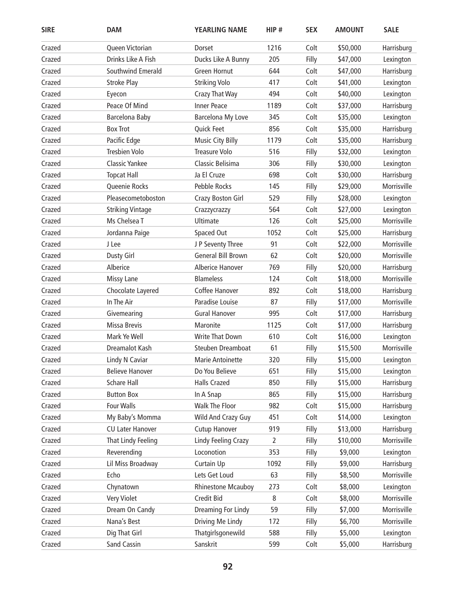| <b>SIRE</b> | <b>DAM</b>              | <b>YEARLING NAME</b>      | HIP# | <b>SEX</b> | <b>AMOUNT</b> | <b>SALE</b> |
|-------------|-------------------------|---------------------------|------|------------|---------------|-------------|
| Crazed      | Queen Victorian         | Dorset                    | 1216 | Colt       | \$50,000      | Harrisburg  |
| Crazed      | Drinks Like A Fish      | Ducks Like A Bunny        | 205  | Filly      | \$47,000      | Lexington   |
| Crazed      | Southwind Emerald       | Green Hornut              | 644  | Colt       | \$47,000      | Harrisburg  |
| Crazed      | <b>Stroke Play</b>      | <b>Striking Volo</b>      | 417  | Colt       | \$41,000      | Lexington   |
| Crazed      | Eyecon                  | Crazy That Way            | 494  | Colt       | \$40,000      | Lexington   |
| Crazed      | Peace Of Mind           | <b>Inner Peace</b>        | 1189 | Colt       | \$37,000      | Harrisburg  |
| Crazed      | Barcelona Baby          | Barcelona My Love         | 345  | Colt       | \$35,000      | Lexington   |
| Crazed      | <b>Box Trot</b>         | Quick Feet                | 856  | Colt       | \$35,000      | Harrisburg  |
| Crazed      | Pacific Edge            | <b>Music City Billy</b>   | 1179 | Colt       | \$35,000      | Harrisburg  |
| Crazed      | Tresbien Volo           | <b>Treasure Volo</b>      | 516  | Filly      | \$32,000      | Lexington   |
| Crazed      | <b>Classic Yankee</b>   | Classic Belisima          | 306  | Filly      | \$30,000      | Lexington   |
| Crazed      | <b>Topcat Hall</b>      | Ja El Cruze               | 698  | Colt       | \$30,000      | Harrisburg  |
| Crazed      | Queenie Rocks           | Pebble Rocks              | 145  | Filly      | \$29,000      | Morrisville |
| Crazed      | Pleasecometoboston      | Crazy Boston Girl         | 529  | Filly      | \$28,000      | Lexington   |
| Crazed      | <b>Striking Vintage</b> | Crazzycrazzy              | 564  | Colt       | \$27,000      | Lexington   |
| Crazed      | Ms Chelsea T            | Ultimate                  | 126  | Colt       | \$25,000      | Morrisville |
| Crazed      | Jordanna Paige          | Spaced Out                | 1052 | Colt       | \$25,000      | Harrisburg  |
| Crazed      | J Lee                   | J P Seventy Three         | 91   | Colt       | \$22,000      | Morrisville |
| Crazed      | <b>Dusty Girl</b>       | <b>General Bill Brown</b> | 62   | Colt       | \$20,000      | Morrisville |
| Crazed      | Alberice                | Alberice Hanover          | 769  | Filly      | \$20,000      | Harrisburg  |
| Crazed      | <b>Missy Lane</b>       | <b>Blameless</b>          | 124  | Colt       | \$18,000      | Morrisville |
| Crazed      | Chocolate Layered       | Coffee Hanover            | 892  | Colt       | \$18,000      | Harrisburg  |
| Crazed      | In The Air              | Paradise Louise           | 87   | Filly      | \$17,000      | Morrisville |
| Crazed      | Givemearing             | <b>Gural Hanover</b>      | 995  | Colt       | \$17,000      | Harrisburg  |
| Crazed      | Missa Brevis            | Maronite                  | 1125 | Colt       | \$17,000      | Harrisburg  |
| Crazed      | Mark Ye Well            | <b>Write That Down</b>    | 610  | Colt       | \$16,000      | Lexington   |
| Crazed      | Dreamalot Kash          | Steuben Dreamboat         | 61   | Filly      | \$15,500      | Morrisville |
| Crazed      | Lindy N Caviar          | Marie Antoinette          | 320  | Filly      | \$15,000      | Lexington   |
| Crazed      | <b>Believe Hanover</b>  | Do You Believe            | 651  | Filly      | \$15,000      | Lexington   |
| Crazed      | Schare Hall             | <b>Halls Crazed</b>       | 850  | Filly      | \$15,000      | Harrisburg  |
| Crazed      | <b>Button Box</b>       | In A Snap                 | 865  | Filly      | \$15,000      | Harrisburg  |
| Crazed      | Four Walls              | Walk The Floor            | 982  | Colt       | \$15,000      | Harrisburg  |
| Crazed      | My Baby's Momma         | Wild And Crazy Guy        | 451  | Colt       | \$14,000      | Lexington   |
| Crazed      | <b>CU Later Hanover</b> | <b>Cutup Hanover</b>      | 919  | Filly      | \$13,000      | Harrisburg  |
| Crazed      | That Lindy Feeling      | Lindy Feeling Crazy       | 2    | Filly      | \$10,000      | Morrisville |
| Crazed      | Reverending             | Loconotion                | 353  | Filly      | \$9,000       | Lexington   |
| Crazed      | Lil Miss Broadway       | Curtain Up                | 1092 | Filly      | \$9,000       | Harrisburg  |
| Crazed      | Echo                    | Lets Get Loud             | 63   | Filly      | \$8,500       | Morrisville |
| Crazed      | Chynatown               | <b>Rhinestone Mcauboy</b> | 273  | Colt       | \$8,000       | Lexington   |
| Crazed      | Very Violet             | Credit Bid                | 8    | Colt       | \$8,000       | Morrisville |
| Crazed      | Dream On Candy          | Dreaming For Lindy        | 59   | Filly      | \$7,000       | Morrisville |
| Crazed      | Nana's Best             | Driving Me Lindy          | 172  | Filly      | \$6,700       | Morrisville |
| Crazed      | Dig That Girl           | Thatgirlsgonewild         | 588  | Filly      | \$5,000       | Lexington   |
| Crazed      | Sand Cassin             | Sanskrit                  | 599  | Colt       | \$5,000       | Harrisburg  |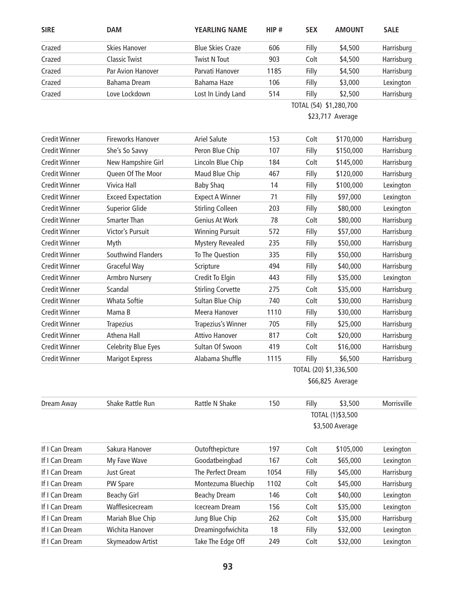| <b>SIRE</b>          | <b>DAM</b>                 | <b>YEARLING NAME</b>     | HIP#                   | <b>SEX</b>             | <b>AMOUNT</b>     | <b>SALE</b> |  |
|----------------------|----------------------------|--------------------------|------------------------|------------------------|-------------------|-------------|--|
| Crazed               | <b>Skies Hanover</b>       | <b>Blue Skies Craze</b>  | 606                    | Filly                  | \$4,500           | Harrisburg  |  |
| Crazed               | <b>Classic Twist</b>       | <b>Twist N Tout</b>      | 903                    | Colt                   | \$4,500           | Harrisburg  |  |
| Crazed               | Par Avion Hanover          | Parvati Hanover          | 1185                   | Filly                  | \$4,500           | Harrisburg  |  |
| Crazed               | <b>Bahama Dream</b>        | Bahama Haze              | 106                    | Filly                  | \$3,000           | Lexington   |  |
| Crazed               | Love Lockdown              | Lost In Lindy Land       | 514                    | Filly                  | \$2,500           | Harrisburg  |  |
|                      |                            |                          |                        | TOTAL (54) \$1,280,700 |                   |             |  |
|                      |                            |                          |                        |                        | \$23,717 Average  |             |  |
| <b>Credit Winner</b> | <b>Fireworks Hanover</b>   | <b>Ariel Salute</b>      | 153                    | Colt                   | \$170,000         | Harrisburg  |  |
| <b>Credit Winner</b> | She's So Savvy             | Peron Blue Chip          | 107                    | Filly                  | \$150,000         | Harrisburg  |  |
| <b>Credit Winner</b> | New Hampshire Girl         | Lincoln Blue Chip        | 184                    | Colt                   | \$145,000         | Harrisburg  |  |
| <b>Credit Winner</b> | Queen Of The Moor          | Maud Blue Chip           | 467                    | Filly                  | \$120,000         | Harrisburg  |  |
| <b>Credit Winner</b> | <b>Vivica Hall</b>         | <b>Baby Shaq</b>         | 14                     | Filly                  | \$100,000         | Lexington   |  |
| <b>Credit Winner</b> | <b>Exceed Expectation</b>  | <b>Expect A Winner</b>   | 71                     | Filly                  | \$97,000          | Lexington   |  |
| <b>Credit Winner</b> | <b>Superior Glide</b>      | <b>Stirling Colleen</b>  | 203                    | Filly                  | \$80,000          | Lexington   |  |
| <b>Credit Winner</b> | <b>Smarter Than</b>        | Genius At Work           | 78                     | Colt                   | \$80,000          | Harrisburg  |  |
| <b>Credit Winner</b> | Victor's Pursuit           | <b>Winning Pursuit</b>   | 572                    | Filly                  | \$57,000          | Harrisburg  |  |
| <b>Credit Winner</b> | Myth                       | <b>Mystery Revealed</b>  | 235                    | Filly                  | \$50,000          | Harrisburg  |  |
| <b>Credit Winner</b> | Southwind Flanders         | To The Question          | 335                    | Filly                  | \$50,000          | Harrisburg  |  |
| <b>Credit Winner</b> | Graceful Way               | Scripture                | 494                    | Filly                  | \$40,000          | Harrisburg  |  |
| <b>Credit Winner</b> | Armbro Nursery             | Credit To Elgin          | 443                    | Filly                  | \$35,000          | Lexington   |  |
| <b>Credit Winner</b> | Scandal                    | <b>Stirling Corvette</b> | 275                    | Colt                   | \$35,000          | Harrisburg  |  |
| <b>Credit Winner</b> | <b>Whata Softie</b>        | Sultan Blue Chip         | 740                    | Colt                   | \$30,000          | Harrisburg  |  |
| <b>Credit Winner</b> | Mama B                     | Meera Hanover            | 1110                   | Filly                  | \$30,000          | Harrisburg  |  |
| <b>Credit Winner</b> | <b>Trapezius</b>           | Trapezius's Winner       | 705                    | Filly                  | \$25,000          | Harrisburg  |  |
| <b>Credit Winner</b> | Athena Hall                | <b>Attivo Hanover</b>    | 817                    | Colt                   | \$20,000          | Harrisburg  |  |
| <b>Credit Winner</b> | <b>Celebrity Blue Eyes</b> | Sultan Of Swoon          | 419                    | Colt                   | \$16,000          | Harrisburg  |  |
| <b>Credit Winner</b> | <b>Marigot Express</b>     | Alabama Shuffle          | 1115                   | Filly                  | \$6,500           | Harrisburg  |  |
|                      |                            |                          | TOTAL (20) \$1,336,500 |                        |                   |             |  |
|                      |                            |                          |                        |                        | \$66,825 Average  |             |  |
| Dream Away           | Shake Rattle Run           | Rattle N Shake           | 150                    | Filly                  | \$3,500           | Morrisville |  |
|                      |                            |                          |                        |                        | TOTAL (1) \$3,500 |             |  |
|                      |                            |                          |                        |                        | \$3,500 Average   |             |  |
| If I Can Dream       | Sakura Hanover             | Outofthepicture          | 197                    | Colt                   | \$105,000         | Lexington   |  |
| If I Can Dream       | My Fave Wave               | Goodatbeingbad           | 167                    | Colt                   | \$65,000          | Lexington   |  |
| If I Can Dream       | <b>Just Great</b>          | The Perfect Dream        | 1054                   | Filly                  | \$45,000          | Harrisburg  |  |
| If I Can Dream       | PW Spare                   | Montezuma Bluechip       | 1102                   | Colt                   | \$45,000          | Harrisburg  |  |
| If I Can Dream       | <b>Beachy Girl</b>         | <b>Beachy Dream</b>      | 146                    | Colt                   | \$40,000          | Lexington   |  |
| If I Can Dream       | Wafflesicecream            | Icecream Dream           | 156                    | Colt                   | \$35,000          | Lexington   |  |
| If I Can Dream       | Mariah Blue Chip           | Jung Blue Chip           | 262                    | Colt                   | \$35,000          | Harrisburg  |  |
| If I Can Dream       | Wichita Hanover            | Dreamingofwichita        | 18                     | Filly                  | \$32,000          | Lexington   |  |
| If I Can Dream       | Skymeadow Artist           | Take The Edge Off        | 249                    | Colt                   | \$32,000          | Lexington   |  |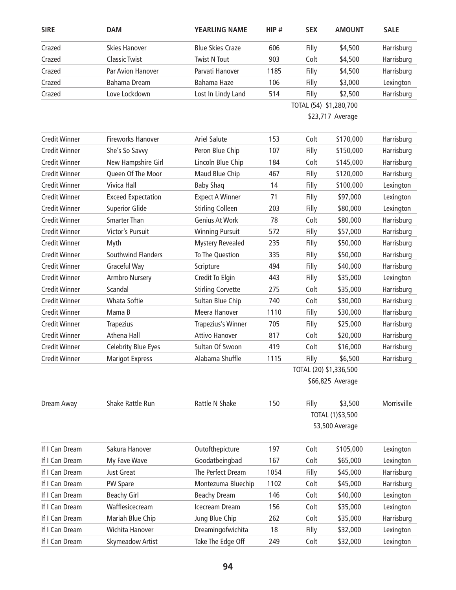| <b>SIRE</b>          | <b>DAM</b>                 | <b>YEARLING NAME</b>     | HIP#            | <b>SEX</b>             | <b>AMOUNT</b> | <b>SALE</b> |  |  |
|----------------------|----------------------------|--------------------------|-----------------|------------------------|---------------|-------------|--|--|
| Crazed               | <b>Skies Hanover</b>       | <b>Blue Skies Craze</b>  | 606             | Filly                  | \$4,500       | Harrisburg  |  |  |
| Crazed               | <b>Classic Twist</b>       | <b>Twist N Tout</b>      | 903             | Colt                   | \$4,500       | Harrisburg  |  |  |
| Crazed               | Par Avion Hanover          | Parvati Hanover          | 1185            | Filly                  | \$4,500       | Harrisburg  |  |  |
| Crazed               | Bahama Dream               | Bahama Haze              | 106             | Filly                  | \$3,000       | Lexington   |  |  |
| Crazed               | Love Lockdown              | Lost In Lindy Land       | 514             | Filly                  | \$2,500       | Harrisburg  |  |  |
|                      |                            |                          |                 | TOTAL (54) \$1,280,700 |               |             |  |  |
|                      |                            |                          |                 | \$23,717 Average       |               |             |  |  |
| <b>Credit Winner</b> | <b>Fireworks Hanover</b>   | <b>Ariel Salute</b>      | 153             | Colt                   | \$170,000     | Harrisburg  |  |  |
| <b>Credit Winner</b> | She's So Savvy             | Peron Blue Chip          | 107             | Filly                  | \$150,000     | Harrisburg  |  |  |
| <b>Credit Winner</b> | New Hampshire Girl         | Lincoln Blue Chip        | 184             | Colt                   | \$145,000     | Harrisburg  |  |  |
| <b>Credit Winner</b> | Queen Of The Moor          | Maud Blue Chip           | 467             | Filly                  | \$120,000     | Harrisburg  |  |  |
| <b>Credit Winner</b> | Vivica Hall                | <b>Baby Shaq</b>         | 14              | Filly                  | \$100,000     | Lexington   |  |  |
| <b>Credit Winner</b> | <b>Exceed Expectation</b>  | <b>Expect A Winner</b>   | 71              | Filly                  | \$97,000      | Lexington   |  |  |
| <b>Credit Winner</b> | <b>Superior Glide</b>      | <b>Stirling Colleen</b>  | 203             | Filly                  | \$80,000      | Lexington   |  |  |
| <b>Credit Winner</b> | <b>Smarter Than</b>        | Genius At Work           | 78              | Colt                   | \$80,000      | Harrisburg  |  |  |
| <b>Credit Winner</b> | Victor's Pursuit           | <b>Winning Pursuit</b>   | 572             | Filly                  | \$57,000      | Harrisburg  |  |  |
| <b>Credit Winner</b> | Myth                       | <b>Mystery Revealed</b>  | 235             | Filly                  | \$50,000      | Harrisburg  |  |  |
| <b>Credit Winner</b> | Southwind Flanders         | To The Question          | 335             | Filly                  | \$50,000      | Harrisburg  |  |  |
| <b>Credit Winner</b> | Graceful Way               | Scripture                | 494             | Filly                  | \$40,000      | Harrisburg  |  |  |
| <b>Credit Winner</b> | Armbro Nursery             | Credit To Elgin          | 443             | Filly                  | \$35,000      | Lexington   |  |  |
| <b>Credit Winner</b> | Scandal                    | <b>Stirling Corvette</b> | 275             | Colt                   | \$35,000      | Harrisburg  |  |  |
| <b>Credit Winner</b> | Whata Softie               | Sultan Blue Chip         | 740             | Colt                   | \$30,000      | Harrisburg  |  |  |
| <b>Credit Winner</b> | Mama B                     | Meera Hanover            | 1110            | Filly                  | \$30,000      | Harrisburg  |  |  |
| <b>Credit Winner</b> | <b>Trapezius</b>           | Trapezius's Winner       | 705             | Filly                  | \$25,000      | Harrisburg  |  |  |
| <b>Credit Winner</b> | Athena Hall                | <b>Attivo Hanover</b>    | 817             | Colt                   | \$20,000      | Harrisburg  |  |  |
| <b>Credit Winner</b> | <b>Celebrity Blue Eyes</b> | Sultan Of Swoon          | 419             | Colt                   | \$16,000      | Harrisburg  |  |  |
| <b>Credit Winner</b> | <b>Marigot Express</b>     | Alabama Shuffle          | 1115            | Filly                  | \$6,500       | Harrisburg  |  |  |
|                      |                            |                          |                 | TOTAL (20) \$1,336,500 |               |             |  |  |
|                      |                            |                          |                 | \$66,825 Average       |               |             |  |  |
| Dream Away           | Shake Rattle Run           | Rattle N Shake           | 150             | Filly                  | \$3,500       | Morrisville |  |  |
|                      |                            |                          |                 | TOTAL (1) \$3,500      |               |             |  |  |
|                      |                            |                          | \$3,500 Average |                        |               |             |  |  |
| If I Can Dream       | Sakura Hanover             | Outofthepicture          | 197             | Colt                   | \$105,000     | Lexington   |  |  |
| If I Can Dream       | My Fave Wave               | Goodatbeingbad           | 167             | Colt                   | \$65,000      | Lexington   |  |  |
| If I Can Dream       | Just Great                 | The Perfect Dream        | 1054            | Filly                  | \$45,000      | Harrisburg  |  |  |
| If I Can Dream       | PW Spare                   | Montezuma Bluechip       | 1102            | Colt                   | \$45,000      | Harrisburg  |  |  |
| If I Can Dream       | <b>Beachy Girl</b>         | <b>Beachy Dream</b>      | 146             | Colt                   | \$40,000      | Lexington   |  |  |
| If I Can Dream       | Wafflesicecream            | Icecream Dream           | 156             | Colt                   | \$35,000      | Lexington   |  |  |
| If I Can Dream       | Mariah Blue Chip           | Jung Blue Chip           | 262             | Colt                   | \$35,000      | Harrisburg  |  |  |
| If I Can Dream       | Wichita Hanover            | Dreamingofwichita        | 18              | Filly                  | \$32,000      | Lexington   |  |  |
| If I Can Dream       | <b>Skymeadow Artist</b>    | Take The Edge Off        | 249             | Colt                   | \$32,000      | Lexington   |  |  |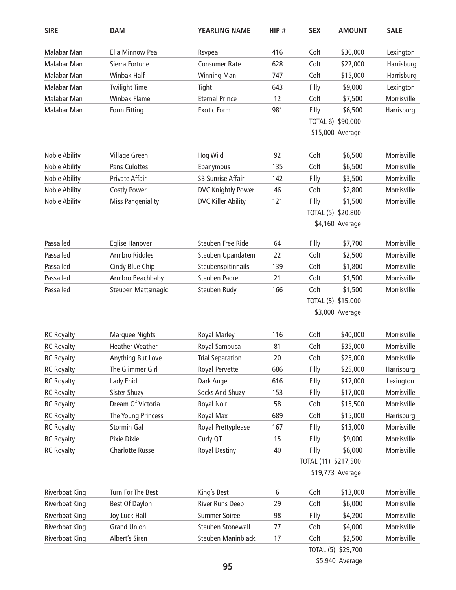| <b>SIRE</b>           | <b>DAM</b>               | <b>YEARLING NAME</b>      | HIP#             | <b>SEX</b>           | <b>AMOUNT</b>      | <b>SALE</b> |  |  |
|-----------------------|--------------------------|---------------------------|------------------|----------------------|--------------------|-------------|--|--|
| Malabar Man           | Ella Minnow Pea          | Rsvpea                    | 416              | Colt                 | \$30,000           | Lexington   |  |  |
| Malabar Man           | Sierra Fortune           | <b>Consumer Rate</b>      | 628              | Colt                 | \$22,000           | Harrisburg  |  |  |
| Malabar Man           | Winbak Half              | <b>Winning Man</b>        | 747              | Colt                 | \$15,000           | Harrisburg  |  |  |
| Malabar Man           | <b>Twilight Time</b>     | Tight                     | 643              | Filly                | \$9,000            | Lexington   |  |  |
| <b>Malabar Man</b>    | <b>Winbak Flame</b>      | <b>Eternal Prince</b>     | 12               | Colt                 | \$7,500            | Morrisville |  |  |
| Malabar Man           | Form Fitting             | <b>Exotic Form</b>        | 981              | Filly                | \$6,500            | Harrisburg  |  |  |
|                       |                          |                           |                  |                      | TOTAL 6) \$90,000  |             |  |  |
|                       |                          |                           |                  |                      | \$15,000 Average   |             |  |  |
| Noble Ability         | Village Green            | Hog Wild                  | 92               | Colt                 | \$6,500            | Morrisville |  |  |
| Noble Ability         | Pans Culottes            | Epanymous                 | 135              | Colt                 | \$6,500            | Morrisville |  |  |
| Noble Ability         | Private Affair           | <b>SB Sunrise Affair</b>  | 142              | Filly                | \$3,500            | Morrisville |  |  |
| Noble Ability         | <b>Costly Power</b>      | <b>DVC Knightly Power</b> | 46               | Colt                 | \$2,800            | Morrisville |  |  |
| Noble Ability         | <b>Miss Pangeniality</b> | <b>DVC Killer Ability</b> | 121              | Filly                | \$1,500            | Morrisville |  |  |
|                       |                          |                           |                  |                      | TOTAL (5) \$20,800 |             |  |  |
|                       |                          |                           |                  |                      | \$4,160 Average    |             |  |  |
| Passailed             | <b>Eglise Hanover</b>    | Steuben Free Ride         | 64               | Filly                | \$7,700            | Morrisville |  |  |
| Passailed             | <b>Armbro Riddles</b>    | Steuben Upandatem         | 22               | Colt                 | \$2,500            | Morrisville |  |  |
| Passailed             | Cindy Blue Chip          | Steubenspitinnails        | 139              | Colt                 | \$1,800            | Morrisville |  |  |
| Passailed             | Armbro Beachbaby         | <b>Steuben Padre</b>      | 21               | Colt                 | \$1,500            | Morrisville |  |  |
| Passailed             | Steuben Mattsmagic       | Steuben Rudy              | 166              | Colt                 | \$1,500            | Morrisville |  |  |
|                       |                          |                           |                  | TOTAL (5) \$15,000   |                    |             |  |  |
|                       |                          |                           |                  |                      | \$3,000 Average    |             |  |  |
| <b>RC Royalty</b>     | <b>Marquee Nights</b>    | <b>Royal Marley</b>       | 116              | Colt                 | \$40,000           | Morrisville |  |  |
| <b>RC Royalty</b>     | <b>Heather Weather</b>   | Royal Sambuca             | 81               | Colt                 | \$35,000           | Morrisville |  |  |
| <b>RC Royalty</b>     | Anything But Love        | <b>Trial Separation</b>   | 20               | Colt                 | \$25,000           | Morrisville |  |  |
| <b>RC Royalty</b>     | The Glimmer Girl         | Royal Pervette            | 686              | Filly                | \$25,000           | Harrisburg  |  |  |
| <b>RC Royalty</b>     | Lady Enid                | Dark Angel                | 616              | Filly                | \$17,000           | Lexington   |  |  |
| <b>RC Royalty</b>     | Sister Shuzy             | Socks And Shuzy           | 153              | Filly                | \$17,000           | Morrisville |  |  |
| <b>RC Royalty</b>     | Dream Of Victoria        | <b>Royal Noir</b>         | 58               | Colt                 | \$15,500           | Morrisville |  |  |
| <b>RC Royalty</b>     | The Young Princess       | Royal Max                 | 689              | Colt                 | \$15,000           | Harrisburg  |  |  |
| <b>RC Royalty</b>     | Stormin Gal              | Royal Prettyplease        | 167              | Filly                | \$13,000           | Morrisville |  |  |
| <b>RC Royalty</b>     | Pixie Dixie              | Curly QT                  | 15               | Filly                | \$9,000            | Morrisville |  |  |
| <b>RC Royalty</b>     | <b>Charlotte Russe</b>   | <b>Royal Destiny</b>      | 40               | Filly                | \$6,000            | Morrisville |  |  |
|                       |                          |                           |                  | TOTAL (11) \$217,500 |                    |             |  |  |
|                       |                          |                           | \$19,773 Average |                      |                    |             |  |  |
| <b>Riverboat King</b> | Turn For The Best        | King's Best               | 6                | Colt                 | \$13,000           | Morrisville |  |  |
| <b>Riverboat King</b> | Best Of Daylon           | <b>River Runs Deep</b>    | 29               | Colt                 | \$6,000            | Morrisville |  |  |
| Riverboat King        | Joy Luck Hall            | <b>Summer Soiree</b>      | 98               | Filly                | \$4,200            | Morrisville |  |  |
| <b>Riverboat King</b> | <b>Grand Union</b>       | Steuben Stonewall         | 77               | Colt                 | \$4,000            | Morrisville |  |  |
| <b>Riverboat King</b> | Albert's Siren           | Steuben Maninblack        | 17               | Colt                 | \$2,500            | Morrisville |  |  |
|                       |                          |                           |                  |                      | TOTAL (5) \$29,700 |             |  |  |